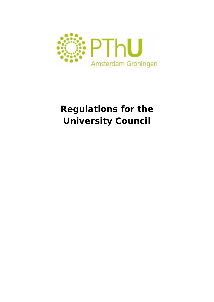

# **Regulations for the University Council**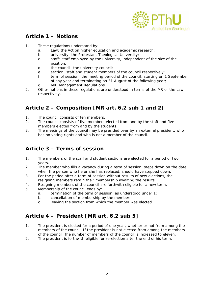

#### **Article 1 –** *Notions*

- 1. These regulations understand by:
	- a. Law: the Act on higher education and academic research;
	- university: the Protestant Theological University;
	- c. staff: staff employed by the university, independent of the size of the position;
	- d. the council: the university council;
	- e. section: staff and student members of the council respectively;
	- f. term of session: the meeting period of the council, starting on 1 September of any year and terminating on 31 August of the following year;
	- g. MR: Management Regulations.
- 2. Other notions in these regulations are understood in terms of the MR or the Law respectively.

#### **Article 2 –** *Composition* **[MR art. 6.2 sub 1 and 2]**

- 1. The council consists of ten members.
- 2. The council consists of five members elected from and by the staff and five members elected from and by the students.
- 3. The meetings of the council may be presided over by an external president, who has no voting rights and who is not a member of the council.

#### **Article 3 –** *Terms of session*

- 1. The members of the staff and student sections are elected for a period of two years.
- 2. The member who fills a vacancy during a term of session, steps down on the date when the person who he or she has replaced, should have stepped down.
- 3. For the period after a term of session without results of new elections, the resigning members retain their membership awaiting the results.
- 4. Resigning members of the council are forthwith eligible for a new term.
- 5. Membership of the council ends by:
	- a. termination of the term of session, as understood under 1;
		- b. cancellation of membership by the member;
	- c. leaving the section from which the member was elected.

# **Article 4 –** *President* **[MR art. 6.2 sub 5]**

- 1. The president is elected for a period of one year, whether or not from among the members of the council. If the president is not elected from among the members of the council, the number of members of the council is increased to eleven.
- 2. The president is forthwith eligible for re-election after the end of his term.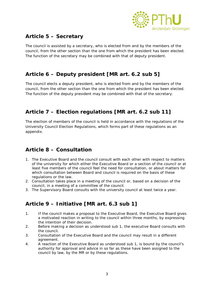

# **Article 5 –** *Secretary*

The council is assisted by a secretary, who is elected from and by the members of the council, from the other section than the one from which the president has been elected. The function of the secretary may be combined with that of deputy president.

## **Article 6 –** *Deputy president* **[MR art. 6.2 sub 5]**

The council elects a deputy president, who is elected from and by the members of the council, from the other section than the one from which the president has been elected. The function of the deputy president may be combined with that of the secretary.

#### **Article 7 –** *Election regulations* **[MR art. 6.2 sub 11]**

The election of members of the council is held in accordance with the regulations of the University Council Election Regulations, which forms part of these regulations as an appendix.

#### **Article 8 –** *Consultation*

- 1. The Executive Board and the council consult with each other with respect to matters of the university for which either the Executive Board or a section of the council or at least five members of the council feel the need for consultation, or about matters for which consultation between Board and council is required on the basis of these regulations or the law.
- 2. Consultation takes place in a meeting of the council or, based on a decision of the council, in a meeting of a committee of the council.
- 3. The Supervisory Board consults with the university council at least twice a year.

#### **Article 9 –** *Initiative* **[MR art. 6.3 sub 1]**

- 1. If the council makes a proposal to the Executive Board, the Executive Board gives a motivated reaction in writing to the council within three months, by expressing the intention of their decision.
- 2. Before making a decision as understood sub 1, the executive Board consults with the council.
- 3. Consultation of the Executive Board and the council may result in a different agreement.
- 4. A reaction of the Executive Board as understood sub 1, is bound by the council's authority for approval and advice in so far as these have been assigned to the council by law, by the MR or by these regulations.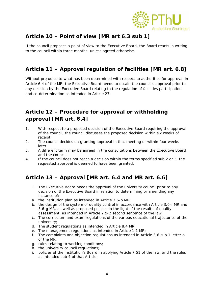

# **Article 10 –** *Point of view* **[MR art 6.3 sub 1]**

If the council proposes a point of view to the Executive Board, the Board reacts in writing to the council within three months, unless agreed otherwise.

# **Article 11 –** *Approval regulation of facilities* **[MR art. 6.8]**

Without prejudice to what has been determined with respect to authorities for approval in Article 6.4 of the MR, the Executive Board needs to obtain the council's approval prior to any decision by the Executive Board relating to the regulation of facilities participation and co-determination as intended in Article 27.

# **Article 12 –** *Procedure for approval or withholding approval* **[MR art. 6.4]**

- 1. With respect to a proposed decision of the Executive Board requiring the approval of the council, the council discusses the proposed decision within six weeks of receipt.
- 2. The council decides on granting approval in that meeting or within four weeks later.
- 3. A different term may be agreed in the consultations between the Executive Board and the council.
- 4. If the council does not reach a decision within the terms specified sub 2 or 3, the requested approval is deemed to have been granted.

# **Article 13 –** *Approval* **[MR art. 6.4 and MR art. 6.6]**

- 1. The Executive Board needs the approval of the university council prior to any decision of the Executive Board in relation to determining or amending any instance of:
- a. the institution plan as intended in Article 3.6-b MR;
- b. the design of the system of quality control in accordance with Article 3.6-f MR and 3.6-g MR, as well as proposed policies in the light of the results of quality assessment, as intended in Article 2.9-2 second sentence of the law;
- c. The curriculum and exam regulations of the various educational trajectories of the university;
- d. The student regulations as intended in Article 8.4 MR;
- e. The management regulations as intended in Article 1.1 MR;
- f. The complaints and objection regulations as intended in Article 3.6 sub 1 letter o of the MR;
- g. rules relating to working conditions;
- h. the university council regulations;
- i. policies of the institution's Board in applying Article 7.51 of the law, and the rules as intended sub 4 of that Article.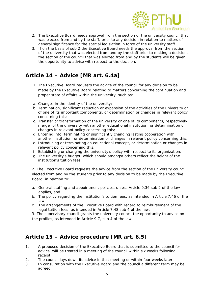

- 2. The Executive Board needs approval from the section of the university council that was elected from and by the staff, prior to any decision in relation to matters of general significance for the special legislation in force of the university staff.
- 3. If on the basis of sub 2 the Executive Board needs the approval from the section of the university that was elected from and by the staff prior to making a decision, the section of the council that was elected from and by the students will be given the opportunity to advise with respect to the decision.

#### **Article 14 –** *Advice* **[MR art. 6.4a]**

- 1. The Executive Board requests the advice of the council for any decision to be made by the Executive Board relating to matters concerning the continuation and proper state of affairs within the university, such as:
- a. Changes in the identity of the university;
- b. Termination, significant reduction or expansion of the activities of the university or of one of its important components, or determination or changes in relevant policy concerning this;
- c. Transfer or transformation of the university or one of its components, respectively merger of the university with another educational institution, or determination or changes in relevant policy concerning this;
- d. Entering into, terminating or significantly changing lasting cooperation with another institution, or determination or changes in relevant policy concerning this;
- e. Introducing or terminating an educational concept, or determination or changes in relevant policy concerning this;
- f. Establishing or changing the university's policy with respect to its organization;
- g. The university's budget, which should amongst others reflect the height of the institution's tuition fees.

2. The Executive Board requests the advice from the section of the university council elected from and by the students prior to any decision to be made by the Executive Board in relation to:

- a. General staffing and appointment policies, unless Article 9.36 sub 2 of the law applies, and
- b. The policy regarding the institution's tuition fees, as intended in Article 7.46 of the law
- c. The arrangements of the Executive Board with regard to reimbursement of the legal tuition fees, as intended in Article 7.48 sub 4 of the law.

3. The supervisory council grants the university council the opportunity to advise on the profiles, as intended in Article 9.7, sub 4 of the law.

#### **Article 15 –** *Advice procedure* **[MR art. 6.5]**

- 1. A proposed decision of the Executive Board that is submitted to the council for advice, will be treated in a meeting of the council within six weeks following receipt.
- 2. The council lays down its advice in that meeting or within four weeks later.
- 3. In consultation with the Executive Board and the council a different term may be agreed.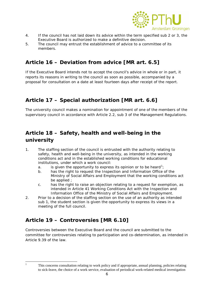

- 4. If the council has not laid down its advice within the term specified sub 2 or 3, the Executive Board is authorized to make a definitive decision.
- 5. The council may entrust the establishment of advice to a committee of its members.

#### **Article 16 –** *Deviation from advice* **[MR art. 6.5]**

If the Executive Board intends not to accept the council's advice in whole or in part, it reports its reasons in writing to the council as soon as possible, accompanied by a proposal for consultation on a date at least fourteen days after receipt of the report.

#### **Article 17 –** *Special authorization* **[MR art. 6.6]**

The university council makes a nomination for appointment of one of the members of the supervisory council in accordance with Article 2.2, sub 3 of the Management Regulations.

# **Article 18 –** *Safety, health and well-being in the university*

- 1. The staffing section of the council is entrusted with the authority relating to safety, health and well-being in the university, as intended in the working conditions act and in the established working conditions for educational institutions, under which a work council:
	- a. is given the opportunity to express its opinion or to be heard<sup>[1](#page-5-0)</sup>;
	- b. has the right to request the Inspection and Information Office of the Ministry of Social Affairs and Employment that the working conditions act be applied :
	- c. has the right to raise an objection relating to a request for exemption, as intended in Article 41 Working Conditions Act with the Inspection and Information Office of the Ministry of Social Affairs and Employment.
- 2. Prior to a decision of the staffing section on the use of an authority as intended sub 1, the student section is given the opportunity to express its views in a meeting of the full council.

#### **Article 19 –** *Controversies* **[MR 6.10]**

Controversies between the Executive Board and the council are submitted to the committee for controversies relating to participation and co-determination, as intended in Article 9.39 of the law.

<span id="page-5-0"></span><sup>&</sup>lt;sup>1</sup> This concerns consultation relating to work policy and if appropriate, annual planning, policies relating to sick-leave, the choice of a work service, evaluation of periodical work-related medical investigation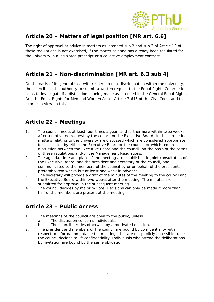

# **Article 20 –** *Matters of legal position* **[MR art. 6.6]**

The right of approval or advice in matters as intended sub 2 and sub 3 of Article 13 of these regulations is not exercised, if the matter at hand has already been regulated for the university in a legislated prescript or a collective employment contract.

#### **Article 21 –** *Non-discrimination* **[MR art. 6.3 sub 4]**

On the basis of its general task with respect to non-discrimination within the university, the council has the authority to submit a written request to the Equal Rights Commission, so as to investigate if a distinction is being made as intended in the General Equal Rights Act, the Equal Rights for Men and Women Act or Article 7:646 of the Civil Code, and to express a view on this.

#### **Article 22 –** *Meetings*

- 1. The council meets at least four times a year, and furthermore within twee weeks after a motivated request by the council or the Executive Board. In these meetings matters relating to the university are discussed which are considered appropriate for discussion by either the Executive Board or the council, or which require discussion between the Executive Board and the council on the basis of the terms of these regulations and/or the Management Regulations.
- 2. The agenda, time and place of the meeting are established in joint consultation of the Executive Board and the president and secretary of the council, and communicated to the members of the council by or on behalf of the president, preferably two weeks but at least one week in advance.
- 3. The secretary will provide a draft of the minutes of the meeting to the council and the Executive Board within two weeks after the meeting. The minutes are submitted for approval in the subsequent meeting.
- 4. The council decides by majority vote. Decisions can only be made if more than half of the members are present at the meeting.

#### **Article 23 –** *Public Access*

- 1. The meetings of the council are open to the public, unless
	- a. The discussion concerns individuals;
	- b. The council decides otherwise by a motivated decision.
- 2. The president and members of the council are bound by confidentiality with respect to information obtained in meetings that are not publicly accessible, unless the council decides to lift confidentiality. Individuals who attend the deliberations by invitation are bound by the same obligation.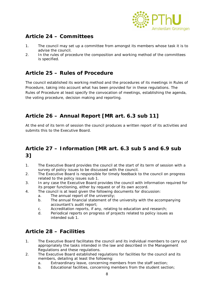

#### **Article 24 –** *Committees*

- 1. The council may set up a committee from amongst its members whose task it is to advise the council.
- 2. In the rules of procedure the composition and working method of the committees is specified.

## **Article 25 –** *Rules of Procedure*

The council established its working method and the procedures of its meetings in Rules of Procedure, taking into account what has been provided for in these regulations. The Rules of Procedure at least specify the convocation of meetings, establishing the agenda, the voting procedure, decision making and reporting.

# **Article 26 –** *Annual Report* **[MR art. 6.3 sub 11]**

At the end of its term of session the council produces a written report of its activities and submits this to the Executive Board.

# **Article 27 –** *Information* **[MR art. 6.3 sub 5 and 6.9 sub 3]**

- 1. The Executive Board provides the council at the start of its term of session with a survey of policy issues to be discussed with the council.
- 2. The Executive Board is responsible for timely feedback to the council on progress related to the policy issues sub 1.
- 3. In any case the Executive Board provides the council with information required for its proper functioning, either by request or of its own accord.
- 4. The council is at least given the following documents for discussion:
	- a. The annual report of the university;
	- b. The annual financial statement of the university with the accompanying accountant's audit report;
	- c. Accreditation reports, if any, relating to education and research;
	- d. Periodical reports on progress of projects related to policy issues as intended sub 1.

# **Article 28 –** *Facilities*

- 1. The Executive Board facilitates the council and its individual members to carry out appropriately the tasks intended in the law and described in the Management Regulations and these regulations.
- 2. The Executive Board established regulations for facilities for the council and its members, detailing at least the following:
	- a. Extraordinary leave, concerning members from the staff section;
	- b. Educational facilities, concerning members from the student section;